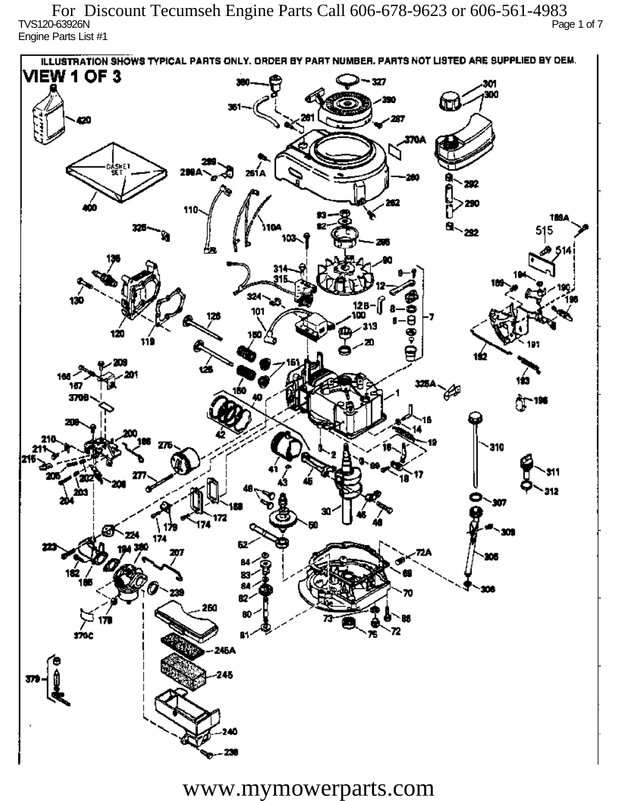TVS120-63926N Page 1 of 7 Engine Parts List #1 For Discount Tecumseh Engine Parts Call 606-678-9623 or 606-561-4983

ILLUSTRATION SHOWS TYPICAL PARTS ONLY. ORDER BY PART NUMBER, PARTS NOT LISTED ARE SUPPLIED BY DEM. **VIEW 1 OF 3** - 327 301 300 20 370A iskF1 261 A ж 292 290 110 1894 515 292 324 130 12 R 101 313 120 دھر 1ś2 ÚБ 160 167 160 P 3709 196 77 310 912 201 Ô,  $\mathbf{m}$ 172 174 174 182 ÷. ß2 260 72 sioc 76 81 245A 245 40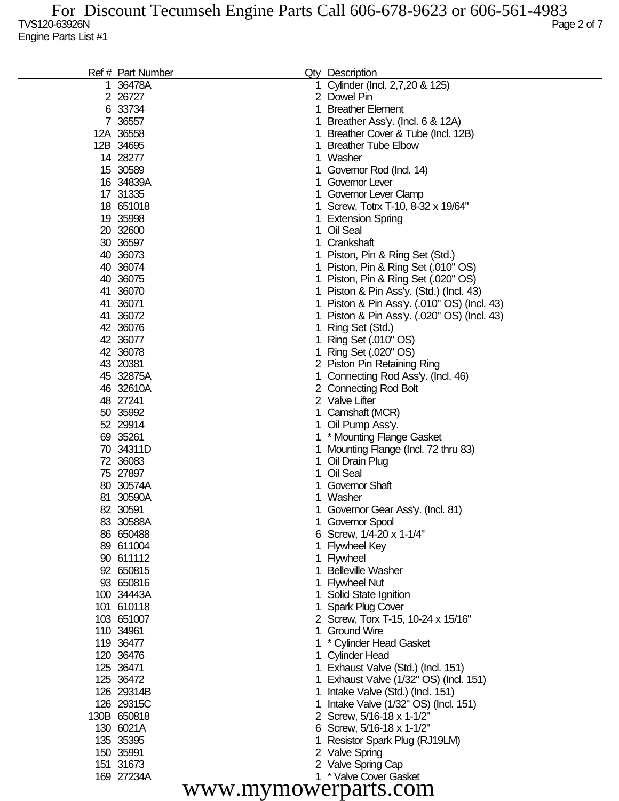| Ref # Part Number |    | Qty Description                           |
|-------------------|----|-------------------------------------------|
| 1 36478A          |    | Cylinder (Incl. 2,7,20 & 125)             |
| 2 26727           |    | 2 Dowel Pin                               |
| 6 33734           |    | <b>Breather Element</b>                   |
| 7 36557           |    | Breather Ass'y. (Incl. 6 & 12A)           |
| 12A 36558         |    | Breather Cover & Tube (Incl. 12B)         |
| 12B 34695         |    | <b>Breather Tube Elbow</b>                |
| 14 28277          |    | Washer                                    |
|                   |    |                                           |
| 15 30589          |    | Governor Rod (Incl. 14)                   |
| 16 34839A         |    | Governor Lever                            |
| 17 31335          |    | Governor Lever Clamp                      |
| 18 651018         |    | Screw, Totrx T-10, 8-32 x 19/64"          |
| 19 35998          |    | <b>Extension Spring</b>                   |
| 20 32600          |    | Oil Seal                                  |
| 30 36597          |    | Crankshaft                                |
| 40 36073          |    | Piston, Pin & Ring Set (Std.)             |
| 40 36074          |    | Piston, Pin & Ring Set (.010" OS)         |
| 40 36075          |    | Piston, Pin & Ring Set (.020" OS)         |
| 41 36070          |    | Piston & Pin Ass'y. (Std.) (Incl. 43)     |
| 41 36071          |    | Piston & Pin Ass'y. (.010" OS) (Incl. 43) |
| 41 36072          |    | Piston & Pin Ass'y. (.020" OS) (Incl. 43) |
| 42 36076          |    | Ring Set (Std.)                           |
| 42 36077          |    | Ring Set (.010" OS)                       |
| 42 36078          |    | Ring Set (.020" OS)                       |
| 43 20381          |    | 2 Piston Pin Retaining Ring               |
| 45 32875A         |    | Connecting Rod Ass'y. (Incl. 46)          |
| 46 32610A         |    | 2 Connecting Rod Bolt                     |
| 48 27241          |    | 2 Valve Lifter                            |
| 50 35992          |    | Camshaft (MCR)                            |
| 52 29914          |    | Oil Pump Ass'y.                           |
| 69 35261          |    | * Mounting Flange Gasket                  |
| 70 34311D         |    | Mounting Flange (Incl. 72 thru 83)        |
| 72 36083          |    | Oil Drain Plug                            |
| 75 27897          |    | Oil Seal                                  |
| 80 30574A         |    | <b>Governor Shaft</b>                     |
| 81 30590A         |    | Washer                                    |
| 82 30591          |    |                                           |
|                   |    | Governor Gear Ass'y. (Incl. 81)           |
| 83 30588A         |    | Governor Spool                            |
| 86 650488         |    | 6 Screw, 1/4-20 x 1-1/4"                  |
| 89 611004         |    | <b>Flywheel Key</b>                       |
| 90 611112         |    | 1 Flywheel                                |
| 92 650815         |    | <b>Belleville Washer</b>                  |
| 93 650816         |    | <b>Flywheel Nut</b>                       |
| 100 34443A        |    | Solid State Ignition                      |
| 101 610118        |    | Spark Plug Cover                          |
| 103 651007        |    | 2 Screw, Torx T-15, 10-24 x 15/16"        |
| 110 34961         | 1. | <b>Ground Wire</b>                        |
| 119 36477         |    | * Cylinder Head Gasket                    |
| 120 36476         |    | <b>Cylinder Head</b>                      |
| 125 36471         |    | 1 Exhaust Valve (Std.) (Incl. 151)        |
| 125 36472         |    | Exhaust Valve (1/32" OS) (Incl. 151)      |
| 126 29314B        |    | Intake Valve (Std.) (Incl. 151)           |
| 126 29315C        |    | Intake Valve (1/32" OS) (Incl. 151)       |
| 130B 650818       |    | 2 Screw, 5/16-18 x 1-1/2"                 |
| 130 6021A         |    | 6 Screw, 5/16-18 x 1-1/2"                 |
| 135 35395         |    | Resistor Spark Plug (RJ19LM)              |
| 150 35991         |    | 2 Valve Spring                            |
| 151 31673         |    | 2 Valve Spring Cap                        |
| 169 27234A        |    | 1 * Valve Cover Gasket                    |
|                   |    | $\cdots$                                  |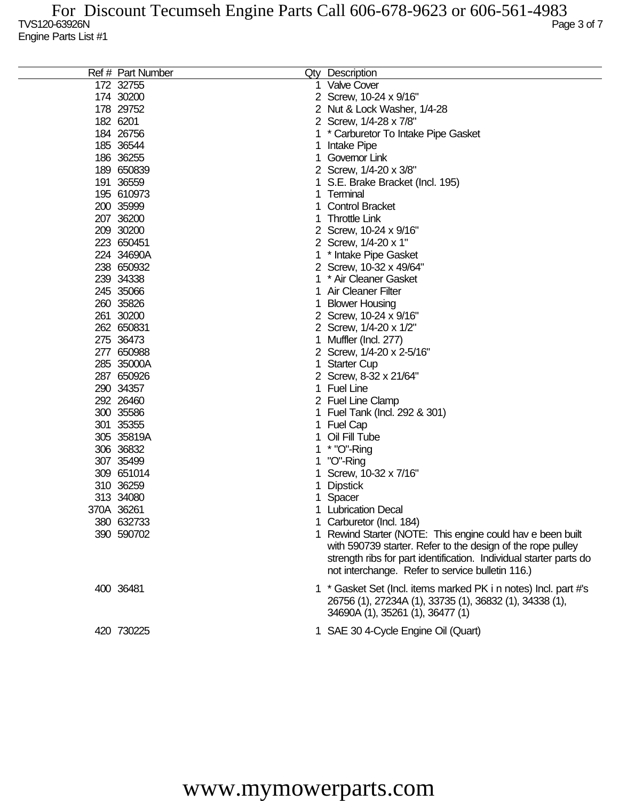| Ref # Part Number | Qty Description                                                    |
|-------------------|--------------------------------------------------------------------|
| 172 32755         | <b>Valve Cover</b>                                                 |
| 174 30200         | 2 Screw, 10-24 x 9/16"                                             |
| 178 29752         | 2 Nut & Lock Washer, 1/4-28                                        |
| 182 6201          | 2 Screw, 1/4-28 x 7/8"                                             |
| 184 26756         | * Carburetor To Intake Pipe Gasket                                 |
| 185 36544         | Intake Pipe                                                        |
| 186 36255         | Governor Link                                                      |
| 189 650839        | 2 Screw, 1/4-20 x 3/8"                                             |
| 191 36559         | S.E. Brake Bracket (Incl. 195)                                     |
| 195 610973        | Terminal                                                           |
| 200 35999         | <b>Control Bracket</b>                                             |
| 207 36200         | <b>Throttle Link</b>                                               |
| 209 30200         | 2 Screw, 10-24 x 9/16"                                             |
| 223 650451        | 2 Screw, 1/4-20 x 1"                                               |
| 224 34690A        | * Intake Pipe Gasket                                               |
| 238 650932        | 2 Screw, 10-32 x 49/64"                                            |
| 239 34338         | * Air Cleaner Gasket                                               |
| 245 35066         | <b>Air Cleaner Filter</b>                                          |
| 260 35826         | <b>Blower Housing</b>                                              |
| 261 30200         | 2 Screw, 10-24 x 9/16"                                             |
| 262 650831        | 2 Screw, 1/4-20 x 1/2"                                             |
| 275 36473         | Muffler (Incl. 277)                                                |
| 277 650988        | 2 Screw, 1/4-20 x 2-5/16"                                          |
| 285 35000A        | <b>Starter Cup</b>                                                 |
| 287 650926        | 2 Screw, 8-32 x 21/64"                                             |
| 290 34357         | <b>Fuel Line</b>                                                   |
| 292 26460         | 2 Fuel Line Clamp                                                  |
| 300 35586         | Fuel Tank (Incl. 292 & 301)                                        |
| 301 35355         | <b>Fuel Cap</b>                                                    |
| 305 35819A        | Oil Fill Tube                                                      |
| 306 36832         | * "O"-Ring                                                         |
| 307 35499         | "O"-Ring                                                           |
| 309 651014        | Screw, 10-32 x 7/16"                                               |
| 310 36259         | <b>Dipstick</b>                                                    |
| 313 34080         | Spacer                                                             |
| 370A 36261        | <b>Lubrication Decal</b>                                           |
| 380 632733        | 1 Carburetor (Incl. 184)                                           |
| 390 590702        | 1 Rewind Starter (NOTE: This engine could hav e been built         |
|                   | with 590739 starter. Refer to the design of the rope pulley        |
|                   | strength ribs for part identification. Individual starter parts do |
|                   | not interchange. Refer to service bulletin 116.)                   |
| 400 36481         | 1 * Gasket Set (Incl. items marked PK i n notes) Incl. part #'s    |
|                   | 26756 (1), 27234A (1), 33735 (1), 36832 (1), 34338 (1),            |
|                   | 34690A (1), 35261 (1), 36477 (1)                                   |
|                   |                                                                    |
| 420 730225        | 1 SAE 30 4-Cycle Engine Oil (Quart)                                |
|                   |                                                                    |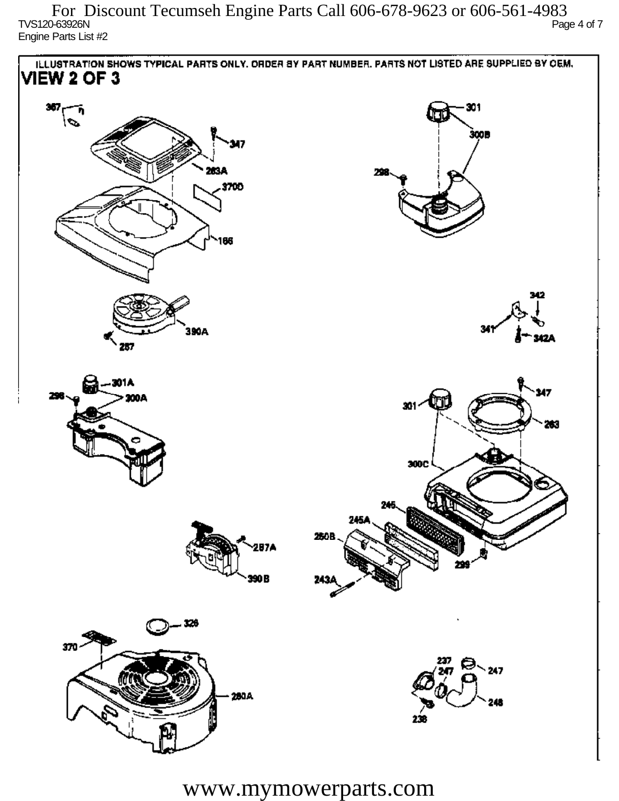TVS120-63926N Page 4 of 7 Engine Parts List #2 For Discount Tecumseh Engine Parts Call 606-678-9623 or 606-561-4983

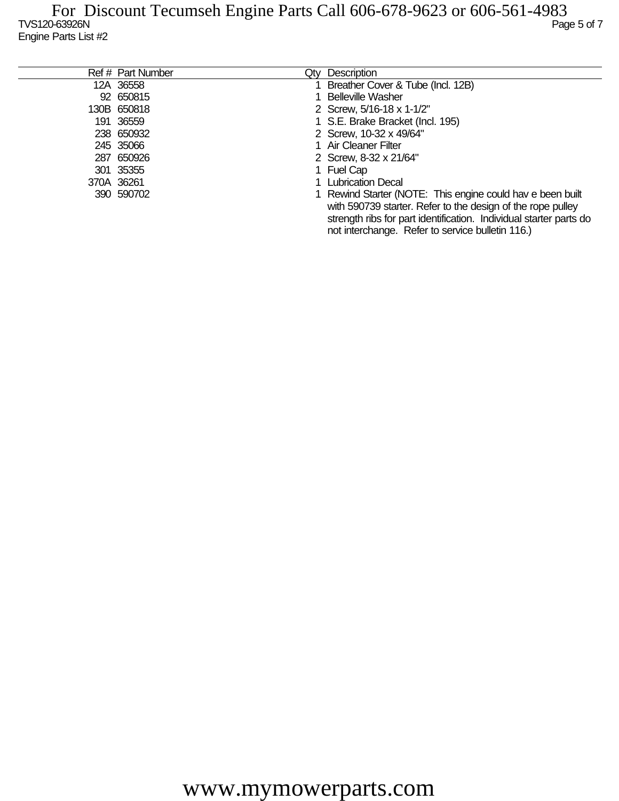| Ref # Part Number | Qty Description                                                    |
|-------------------|--------------------------------------------------------------------|
| 12A 36558         | 1 Breather Cover & Tube (Incl. 12B)                                |
| 92 650815         | 1 Belleville Washer                                                |
| 130B 650818       | 2 Screw, 5/16-18 x 1-1/2"                                          |
| 191 36559         | 1 S.E. Brake Bracket (Incl. 195)                                   |
| 238 650932        | 2 Screw, 10-32 x 49/64"                                            |
| 245 35066         | 1 Air Cleaner Filter                                               |
| 287 650926        | 2 Screw, 8-32 x 21/64"                                             |
| 301 35355         | 1 Fuel Cap                                                         |
| 370A 36261        | 1 Lubrication Decal                                                |
| 390 590702        | 1 Rewind Starter (NOTE: This engine could hav e been built         |
|                   | with 590739 starter. Refer to the design of the rope pulley        |
|                   | strength ribs for part identification. Individual starter parts do |
|                   | not interchange. Refer to service bulletin 116.)                   |
|                   |                                                                    |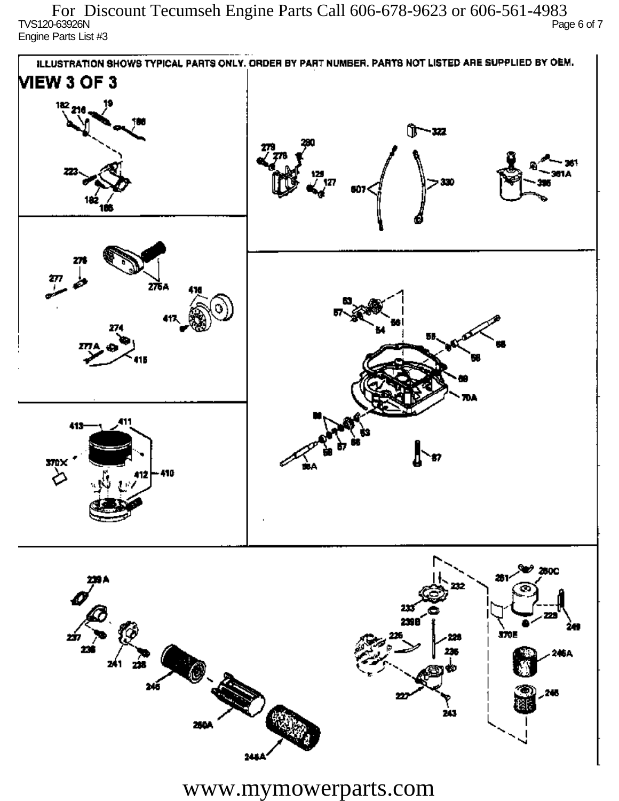$TVS120-63926N$  Page 6 of 7 Engine Parts List #3 For Discount Tecumseh Engine Parts Call 606-678-9623 or 606-561-4983



www.mymowerparts.com